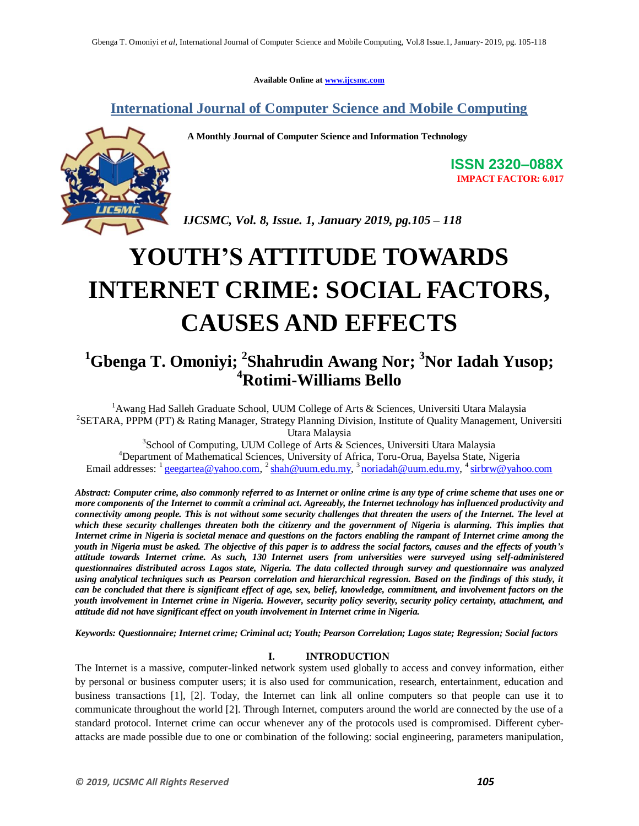**Available Online at www.ijcsmc.com**

**International Journal of Computer Science and Mobile Computing**

 **A Monthly Journal of Computer Science and Information Technology**



**ISSN 2320–088X IMPACT FACTOR: 6.017**

*IJCSMC, Vol. 8, Issue. 1, January 2019, pg.105 – 118*

# **YOUTH'S ATTITUDE TOWARDS INTERNET CRIME: SOCIAL FACTORS, CAUSES AND EFFECTS**

### **<sup>1</sup>Gbenga T. Omoniyi; 2 Shahrudin Awang Nor; <sup>3</sup>Nor Iadah Yusop; <sup>4</sup>Rotimi-Williams Bello**

<sup>1</sup> Awang Had Salleh Graduate School, UUM College of Arts & Sciences, Universiti Utara Malaysia <sup>2</sup>SETARA, PPPM (PT) & Rating Manager, Strategy Planning Division, Institute of Quality Management, Universiti Utara Malaysia

<sup>3</sup> School of Computing, UUM College of Arts & Sciences, Universiti Utara Malaysia <sup>4</sup>Department of Mathematical Sciences, University of Africa, Toru-Orua, Bayelsa State, Nigeria Email addresses:  $\frac{1}{2}$  geegartea@yahoo.com,  $\frac{2}{3}$ shah@uum.edu.my,  $\frac{3}{3}$ noriadah@uum.edu.my,  $\frac{4}{3}$ sirbrw@yahoo.com

*Abstract: Computer crime, also commonly referred to as Internet or online crime is any type of crime scheme that uses one or more components of the Internet to commit a criminal act. Agreeably, the Internet technology has influenced productivity and connectivity among people. This is not without some security challenges that threaten the users of the Internet. The level at which these security challenges threaten both the citizenry and the government of Nigeria is alarming. This implies that Internet crime in Nigeria is societal menace and questions on the factors enabling the rampant of Internet crime among the youth in Nigeria must be asked. The objective of this paper is to address the social factors, causes and the effects of youth's attitude towards Internet crime. As such, 130 Internet users from universities were surveyed using self-administered questionnaires distributed across Lagos state, Nigeria. The data collected through survey and questionnaire was analyzed using analytical techniques such as Pearson correlation and hierarchical regression. Based on the findings of this study, it can be concluded that there is significant effect of age, sex, belief, knowledge, commitment, and involvement factors on the youth involvement in Internet crime in Nigeria. However, security policy severity, security policy certainty, attachment, and attitude did not have significant effect on youth involvement in Internet crime in Nigeria.* 

*Keywords: Questionnaire; Internet crime; Criminal act; Youth; Pearson Correlation; Lagos state; Regression; Social factors*

### **I. INTRODUCTION**

The Internet is a massive, computer-linked network system used globally to access and convey information, either by personal or business computer users; it is also used for communication, research, entertainment, education and business transactions [1], [2]. Today, the Internet can link all online computers so that people can use it to communicate throughout the world [2]. Through Internet, computers around the world are connected by the use of a standard protocol. Internet crime can occur whenever any of the protocols used is compromised. Different cyberattacks are made possible due to one or combination of the following: social engineering, parameters manipulation,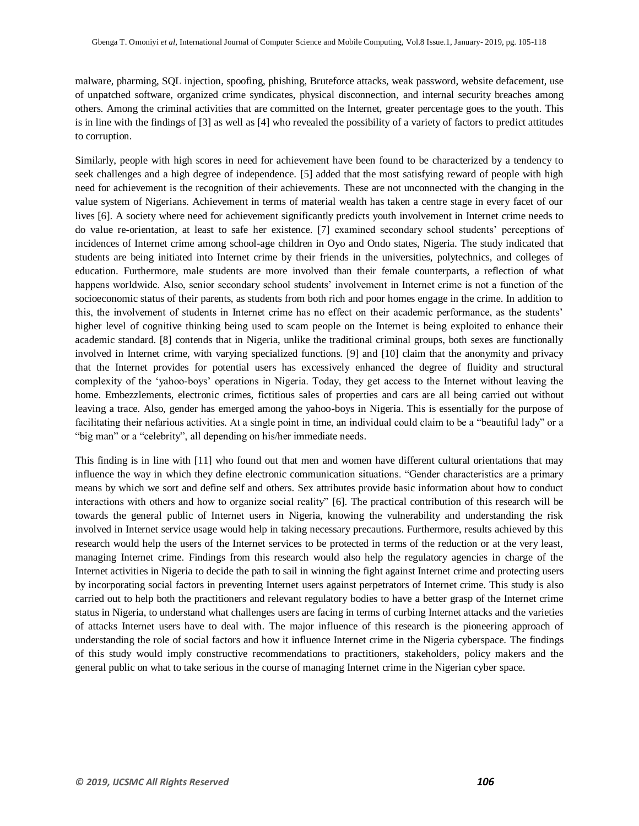malware, pharming, SQL injection, spoofing, phishing, Bruteforce attacks, weak password, website defacement, use of unpatched software, organized crime syndicates, physical disconnection, and internal security breaches among others. Among the criminal activities that are committed on the Internet, greater percentage goes to the youth. This is in line with the findings of [3] as well as [4] who revealed the possibility of a variety of factors to predict attitudes to corruption.

Similarly, people with high scores in need for achievement have been found to be characterized by a tendency to seek challenges and a high degree of independence. [5] added that the most satisfying reward of people with high need for achievement is the recognition of their achievements. These are not unconnected with the changing in the value system of Nigerians. Achievement in terms of material wealth has taken a centre stage in every facet of our lives [6]. A society where need for achievement significantly predicts youth involvement in Internet crime needs to do value re-orientation, at least to safe her existence. [7] examined secondary school students" perceptions of incidences of Internet crime among school-age children in Oyo and Ondo states, Nigeria. The study indicated that students are being initiated into Internet crime by their friends in the universities, polytechnics, and colleges of education. Furthermore, male students are more involved than their female counterparts, a reflection of what happens worldwide. Also, senior secondary school students' involvement in Internet crime is not a function of the socioeconomic status of their parents, as students from both rich and poor homes engage in the crime. In addition to this, the involvement of students in Internet crime has no effect on their academic performance, as the students" higher level of cognitive thinking being used to scam people on the Internet is being exploited to enhance their academic standard. [8] contends that in Nigeria, unlike the traditional criminal groups, both sexes are functionally involved in Internet crime, with varying specialized functions. [9] and [10] claim that the anonymity and privacy that the Internet provides for potential users has excessively enhanced the degree of fluidity and structural complexity of the "yahoo-boys" operations in Nigeria. Today, they get access to the Internet without leaving the home. Embezzlements, electronic crimes, fictitious sales of properties and cars are all being carried out without leaving a trace. Also, gender has emerged among the yahoo-boys in Nigeria. This is essentially for the purpose of facilitating their nefarious activities. At a single point in time, an individual could claim to be a "beautiful lady" or a "big man" or a "celebrity", all depending on his/her immediate needs.

This finding is in line with [11] who found out that men and women have different cultural orientations that may influence the way in which they define electronic communication situations. "Gender characteristics are a primary means by which we sort and define self and others. Sex attributes provide basic information about how to conduct interactions with others and how to organize social reality" [6]. The practical contribution of this research will be towards the general public of Internet users in Nigeria, knowing the vulnerability and understanding the risk involved in Internet service usage would help in taking necessary precautions. Furthermore, results achieved by this research would help the users of the Internet services to be protected in terms of the reduction or at the very least, managing Internet crime. Findings from this research would also help the regulatory agencies in charge of the Internet activities in Nigeria to decide the path to sail in winning the fight against Internet crime and protecting users by incorporating social factors in preventing Internet users against perpetrators of Internet crime. This study is also carried out to help both the practitioners and relevant regulatory bodies to have a better grasp of the Internet crime status in Nigeria, to understand what challenges users are facing in terms of curbing Internet attacks and the varieties of attacks Internet users have to deal with. The major influence of this research is the pioneering approach of understanding the role of social factors and how it influence Internet crime in the Nigeria cyberspace. The findings of this study would imply constructive recommendations to practitioners, stakeholders, policy makers and the general public on what to take serious in the course of managing Internet crime in the Nigerian cyber space.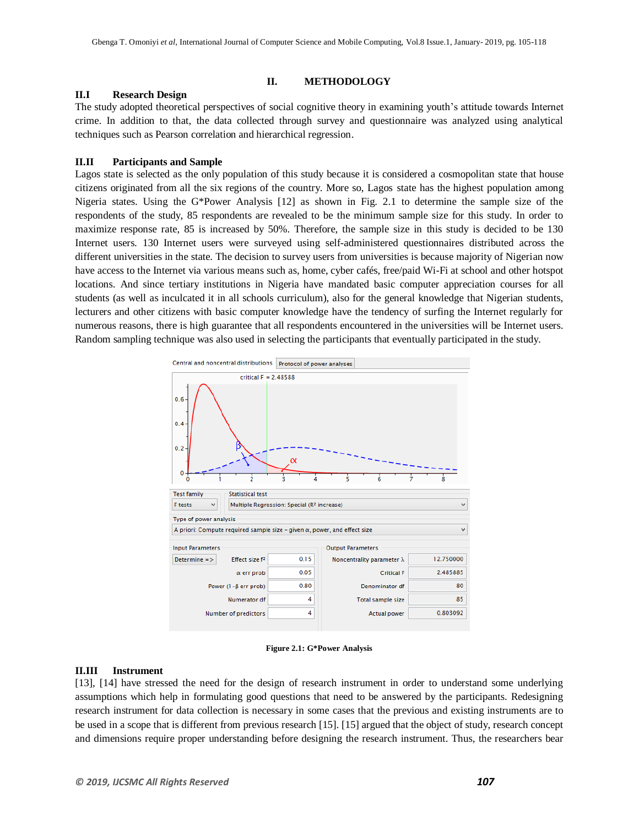### **II. METHODOLOGY**

### **II.I Research Design**

The study adopted theoretical perspectives of social cognitive theory in examining youth"s attitude towards Internet crime. In addition to that, the data collected through survey and questionnaire was analyzed using analytical techniques such as Pearson correlation and hierarchical regression.

### **II.II Participants and Sample**

Lagos state is selected as the only population of this study because it is considered a cosmopolitan state that house citizens originated from all the six regions of the country. More so, Lagos state has the highest population among Nigeria states. Using the G\*Power Analysis [12] as shown in Fig. 2.1 to determine the sample size of the respondents of the study, 85 respondents are revealed to be the minimum sample size for this study. In order to maximize response rate, 85 is increased by 50%. Therefore, the sample size in this study is decided to be 130 Internet users. 130 Internet users were surveyed using self-administered questionnaires distributed across the different universities in the state. The decision to survey users from universities is because majority of Nigerian now have access to the Internet via various means such as, home, cyber cafés, free/paid Wi-Fi at school and other hotspot locations. And since tertiary institutions in Nigeria have mandated basic computer appreciation courses for all students (as well as inculcated it in all schools curriculum), also for the general knowledge that Nigerian students, lecturers and other citizens with basic computer knowledge have the tendency of surfing the Internet regularly for numerous reasons, there is high guarantee that all respondents encountered in the universities will be Internet users. Random sampling technique was also used in selecting the participants that eventually participated in the study.



**Figure 2.1: G\*Power Analysis**

### **II.III Instrument**

[13], [14] have stressed the need for the design of research instrument in order to understand some underlying assumptions which help in formulating good questions that need to be answered by the participants. Redesigning research instrument for data collection is necessary in some cases that the previous and existing instruments are to be used in a scope that is different from previous research [15]. [15] argued that the object of study, research concept and dimensions require proper understanding before designing the research instrument. Thus, the researchers bear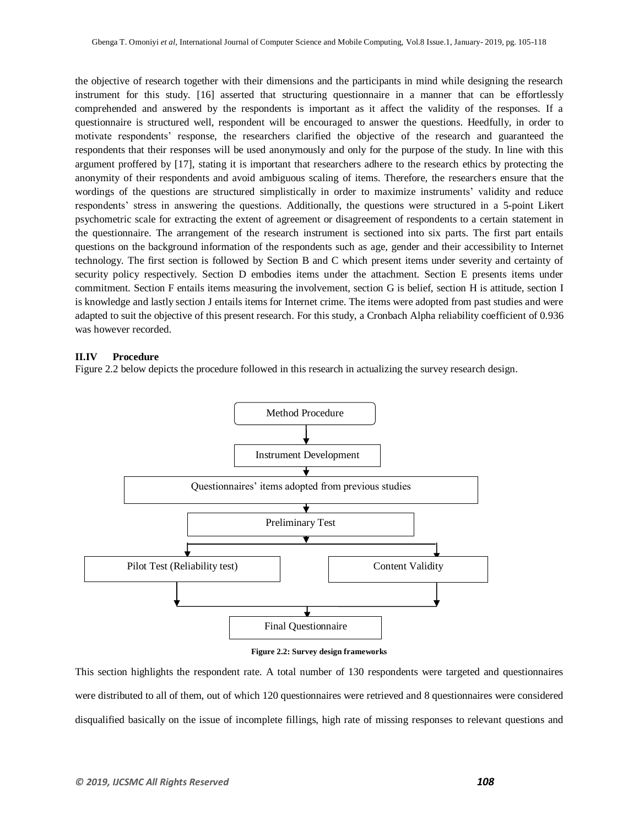the objective of research together with their dimensions and the participants in mind while designing the research instrument for this study. [16] asserted that structuring questionnaire in a manner that can be effortlessly comprehended and answered by the respondents is important as it affect the validity of the responses. If a questionnaire is structured well, respondent will be encouraged to answer the questions. Heedfully, in order to motivate respondents" response, the researchers clarified the objective of the research and guaranteed the respondents that their responses will be used anonymously and only for the purpose of the study. In line with this argument proffered by [17], stating it is important that researchers adhere to the research ethics by protecting the anonymity of their respondents and avoid ambiguous scaling of items. Therefore, the researchers ensure that the wordings of the questions are structured simplistically in order to maximize instruments" validity and reduce respondents" stress in answering the questions. Additionally, the questions were structured in a 5-point Likert psychometric scale for extracting the extent of agreement or disagreement of respondents to a certain statement in the questionnaire. The arrangement of the research instrument is sectioned into six parts. The first part entails questions on the background information of the respondents such as age, gender and their accessibility to Internet technology. The first section is followed by Section B and C which present items under severity and certainty of security policy respectively. Section D embodies items under the attachment. Section E presents items under commitment. Section F entails items measuring the involvement, section G is belief, section H is attitude, section I is knowledge and lastly section J entails items for Internet crime. The items were adopted from past studies and were adapted to suit the objective of this present research. For this study, a Cronbach Alpha reliability coefficient of 0.936 was however recorded.

#### **II.IV Procedure**

Figure 2.2 below depicts the procedure followed in this research in actualizing the survey research design.



**Figure 2.2: Survey design frameworks**

This section highlights the respondent rate. A total number of 130 respondents were targeted and questionnaires were distributed to all of them, out of which 120 questionnaires were retrieved and 8 questionnaires were considered disqualified basically on the issue of incomplete fillings, high rate of missing responses to relevant questions and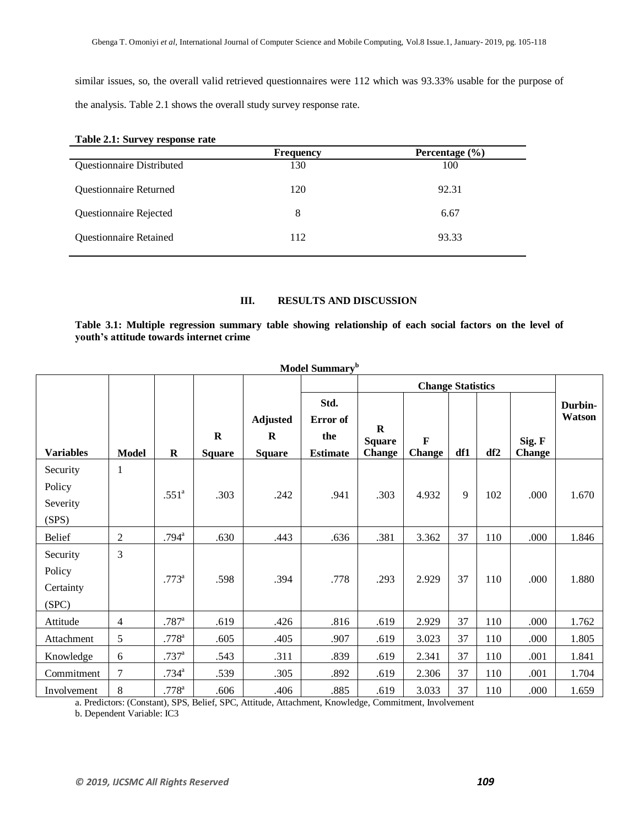similar issues, so, the overall valid retrieved questionnaires were 112 which was 93.33% usable for the purpose of the analysis. Table 2.1 shows the overall study survey response rate.

| Table 2.1: Survey response rate |                    |  |  |  |  |  |
|---------------------------------|--------------------|--|--|--|--|--|
| <b>Frequency</b>                | Percentage $(\% )$ |  |  |  |  |  |
| 130                             | 100                |  |  |  |  |  |
| 120                             | 92.31              |  |  |  |  |  |
| 8                               | 6.67               |  |  |  |  |  |
| 112                             | 93.33              |  |  |  |  |  |
|                                 |                    |  |  |  |  |  |

### **Table 2.1: Survey response rate**

### **III. RESULTS AND DISCUSSION**

**Table 3.1: Multiple regression summary table showing relationship of each social factors on the level of youth's attitude towards internet crime**

| Model Summary <sup>b</sup>               |                |                     |                              |                                                 |                                            |                                           |                              |     |     |                         |                   |
|------------------------------------------|----------------|---------------------|------------------------------|-------------------------------------------------|--------------------------------------------|-------------------------------------------|------------------------------|-----|-----|-------------------------|-------------------|
|                                          |                |                     |                              |                                                 |                                            | <b>Change Statistics</b>                  |                              |     |     |                         |                   |
| <b>Variables</b>                         | <b>Model</b>   | $\mathbf R$         | $\mathbf R$<br><b>Square</b> | <b>Adjusted</b><br>$\mathbf R$<br><b>Square</b> | Std.<br>Error of<br>the<br><b>Estimate</b> | $\bf R$<br><b>Square</b><br><b>Change</b> | $\mathbf F$<br><b>Change</b> | df1 | df2 | Sig. F<br><b>Change</b> | Durbin-<br>Watson |
| Security<br>Policy<br>Severity<br>(SPS)  | $\mathbf{1}$   | $.551^{\circ}$      | .303                         | .242                                            | .941                                       | .303                                      | 4.932                        | 9   | 102 | .000                    | 1.670             |
| <b>Belief</b>                            | $\overline{2}$ | $.794^{\rm a}$      | .630                         | .443                                            | .636                                       | .381                                      | 3.362                        | 37  | 110 | .000                    | 1.846             |
| Security<br>Policy<br>Certainty<br>(SPC) | 3              | $.773^{\rm a}$      | .598                         | .394                                            | .778                                       | .293                                      | 2.929                        | 37  | 110 | .000                    | 1.880             |
| Attitude                                 | $\overline{4}$ | $.787$ <sup>a</sup> | .619                         | .426                                            | .816                                       | .619                                      | 2.929                        | 37  | 110 | .000                    | 1.762             |
| Attachment                               | 5              | $.778^{a}$          | .605                         | .405                                            | .907                                       | .619                                      | 3.023                        | 37  | 110 | .000                    | 1.805             |
| Knowledge                                | 6              | $.737^{\rm a}$      | .543                         | .311                                            | .839                                       | .619                                      | 2.341                        | 37  | 110 | .001                    | 1.841             |
| Commitment                               | $\overline{7}$ | $.734^{a}$          | .539                         | .305                                            | .892                                       | .619                                      | 2.306                        | 37  | 110 | .001                    | 1.704             |
| Involvement                              | $8\,$          | $.778$ <sup>a</sup> | .606                         | .406                                            | .885                                       | .619                                      | 3.033                        | 37  | 110 | .000                    | 1.659             |

a. Predictors: (Constant), SPS, Belief, SPC, Attitude, Attachment, Knowledge, Commitment, Involvement

b. Dependent Variable: IC3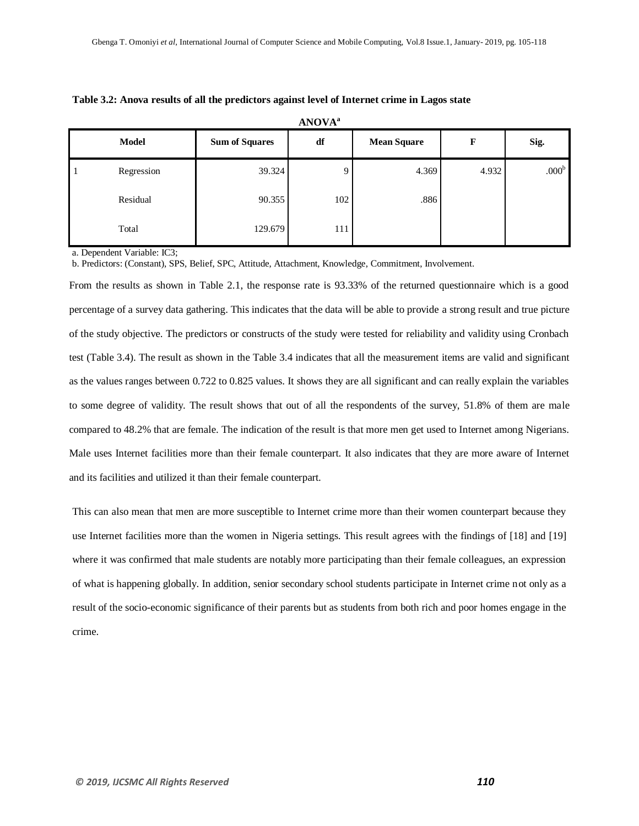|              | <b>Model</b> | <b>Sum of Squares</b> | df  | <b>Mean Square</b> | F     | Sig.              |
|--------------|--------------|-----------------------|-----|--------------------|-------|-------------------|
| $\mathbf{I}$ | Regression   | 39.324                | Q   | 4.369              | 4.932 | .000 <sup>b</sup> |
|              | Residual     | 90.355                | 102 | .886               |       |                   |
|              | Total        | 129.679               | 111 |                    |       |                   |

**ANOVA<sup>a</sup>**

|  |  | Table 3.2: Anova results of all the predictors against level of Internet crime in Lagos state |
|--|--|-----------------------------------------------------------------------------------------------|
|  |  |                                                                                               |

a. Dependent Variable: IC3;

b. Predictors: (Constant), SPS, Belief, SPC, Attitude, Attachment, Knowledge, Commitment, Involvement.

From the results as shown in Table 2.1, the response rate is 93.33% of the returned questionnaire which is a good percentage of a survey data gathering. This indicates that the data will be able to provide a strong result and true picture of the study objective. The predictors or constructs of the study were tested for reliability and validity using Cronbach test (Table 3.4). The result as shown in the Table 3.4 indicates that all the measurement items are valid and significant as the values ranges between 0.722 to 0.825 values. It shows they are all significant and can really explain the variables to some degree of validity. The result shows that out of all the respondents of the survey, 51.8% of them are male compared to 48.2% that are female. The indication of the result is that more men get used to Internet among Nigerians. Male uses Internet facilities more than their female counterpart. It also indicates that they are more aware of Internet and its facilities and utilized it than their female counterpart.

This can also mean that men are more susceptible to Internet crime more than their women counterpart because they use Internet facilities more than the women in Nigeria settings. This result agrees with the findings of [18] and [19] where it was confirmed that male students are notably more participating than their female colleagues, an expression of what is happening globally. In addition, senior secondary school students participate in Internet crime not only as a result of the socio-economic significance of their parents but as students from both rich and poor homes engage in the crime.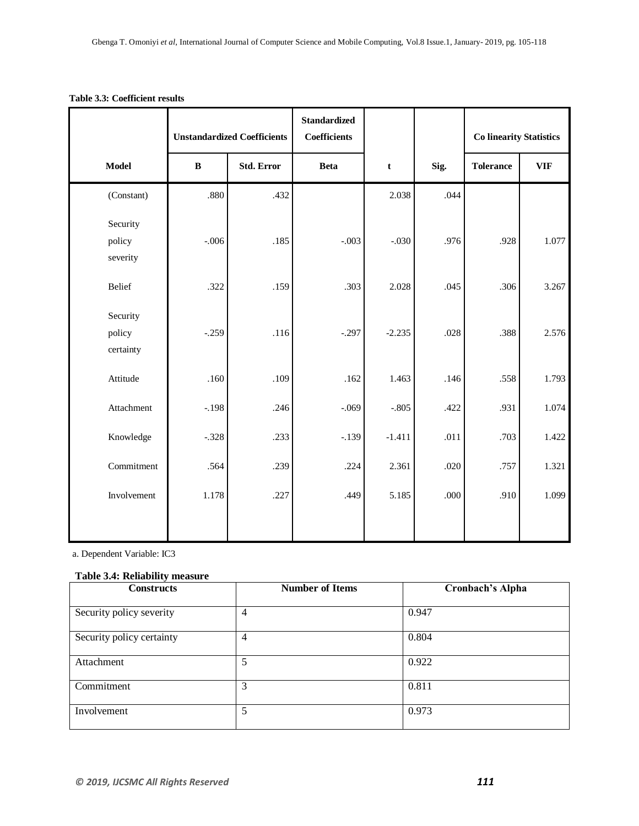|                                 | <b>Unstandardized Coefficients</b> |                   | <b>Standardized</b><br><b>Coefficients</b> |          |      | <b>Co linearity Statistics</b> |            |
|---------------------------------|------------------------------------|-------------------|--------------------------------------------|----------|------|--------------------------------|------------|
| Model                           | $\, {\bf B}$                       | <b>Std. Error</b> | <b>Beta</b>                                | t        | Sig. | <b>Tolerance</b>               | <b>VIF</b> |
| (Constant)                      | .880                               | .432              |                                            | 2.038    | .044 |                                |            |
| Security<br>policy<br>severity  | $-.006$                            | .185              | $-.003$                                    | $-.030$  | .976 | .928                           | 1.077      |
| Belief                          | .322                               | .159              | .303                                       | 2.028    | .045 | .306                           | 3.267      |
| Security<br>policy<br>certainty | $-.259$                            | .116              | $-.297$                                    | $-2.235$ | .028 | .388                           | 2.576      |
| Attitude                        | .160                               | .109              | .162                                       | 1.463    | .146 | .558                           | 1.793      |
| Attachment                      | $-.198$                            | .246              | $-.069$                                    | $-.805$  | .422 | .931                           | 1.074      |
| Knowledge                       | $-.328$                            | .233              | $-.139$                                    | $-1.411$ | .011 | .703                           | 1.422      |
| Commitment                      | .564                               | .239              | .224                                       | 2.361    | .020 | .757                           | 1.321      |
| Involvement                     | 1.178                              | .227              | .449                                       | 5.185    | .000 | .910                           | 1.099      |

### **Table 3.3: Coefficient results**

a. Dependent Variable: IC3

### **Table 3.4: Reliability measure**

| <b>Constructs</b>         | <b>Number of Items</b> | Cronbach's Alpha |
|---------------------------|------------------------|------------------|
| Security policy severity  | 4                      | 0.947            |
| Security policy certainty | 4                      | 0.804            |
| Attachment                | 5                      | 0.922            |
| Commitment                | 3                      | 0.811            |
| Involvement               | 5                      | 0.973            |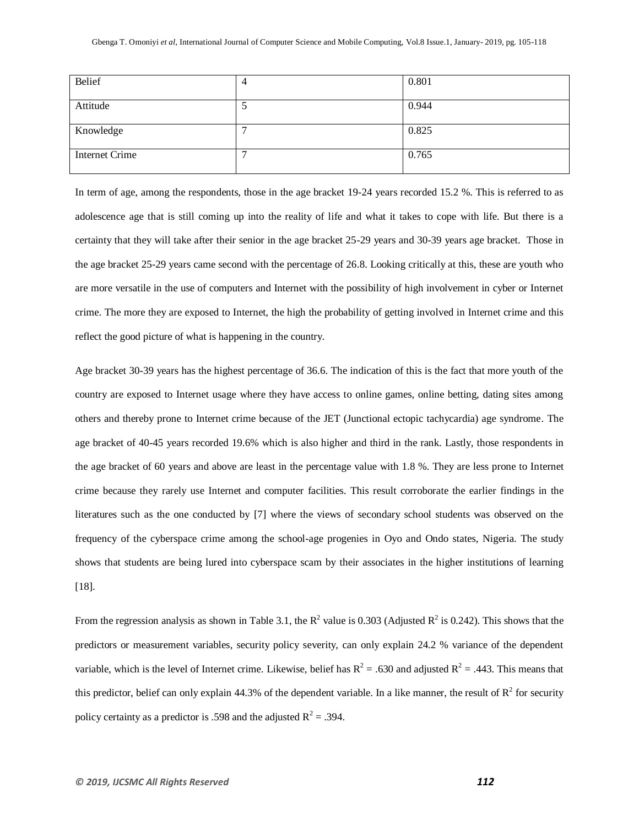| Belief                | 4 | 0.801 |
|-----------------------|---|-------|
| Attitude              |   | 0.944 |
| Knowledge             |   | 0.825 |
| <b>Internet Crime</b> | − | 0.765 |

In term of age, among the respondents, those in the age bracket 19-24 years recorded 15.2 %. This is referred to as adolescence age that is still coming up into the reality of life and what it takes to cope with life. But there is a certainty that they will take after their senior in the age bracket 25-29 years and 30-39 years age bracket. Those in the age bracket 25-29 years came second with the percentage of 26.8. Looking critically at this, these are youth who are more versatile in the use of computers and Internet with the possibility of high involvement in cyber or Internet crime. The more they are exposed to Internet, the high the probability of getting involved in Internet crime and this reflect the good picture of what is happening in the country.

Age bracket 30-39 years has the highest percentage of 36.6. The indication of this is the fact that more youth of the country are exposed to Internet usage where they have access to online games, online betting, dating sites among others and thereby prone to Internet crime because of the JET (Junctional ectopic tachycardia) age syndrome. The age bracket of 40-45 years recorded 19.6% which is also higher and third in the rank. Lastly, those respondents in the age bracket of 60 years and above are least in the percentage value with 1.8 %. They are less prone to Internet crime because they rarely use Internet and computer facilities. This result corroborate the earlier findings in the literatures such as the one conducted by [7] where the views of secondary school students was observed on the frequency of the cyberspace crime among the school-age progenies in Oyo and Ondo states, Nigeria. The study shows that students are being lured into cyberspace scam by their associates in the higher institutions of learning [18].

From the regression analysis as shown in Table 3.1, the  $R^2$  value is 0.303 (Adjusted  $R^2$  is 0.242). This shows that the predictors or measurement variables, security policy severity, can only explain 24.2 % variance of the dependent variable, which is the level of Internet crime. Likewise, belief has  $R^2 = .630$  and adjusted  $R^2 = .443$ . This means that this predictor, belief can only explain 44.3% of the dependent variable. In a like manner, the result of  $R^2$  for security policy certainty as a predictor is .598 and the adjusted  $R^2 = .394$ .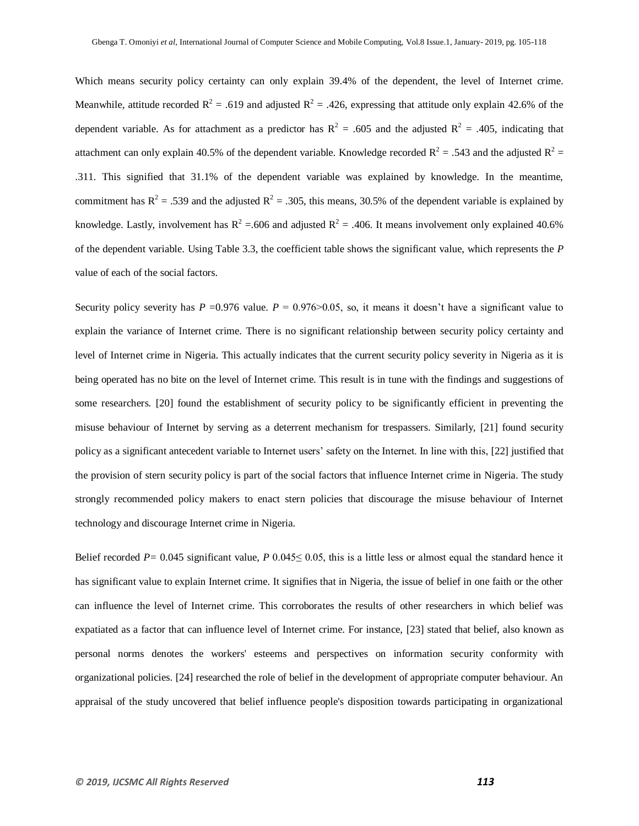Which means security policy certainty can only explain 39.4% of the dependent, the level of Internet crime. Meanwhile, attitude recorded  $R^2 = .619$  and adjusted  $R^2 = .426$ , expressing that attitude only explain 42.6% of the dependent variable. As for attachment as a predictor has  $R^2 = 0.605$  and the adjusted  $R^2 = 0.405$ , indicating that attachment can only explain 40.5% of the dependent variable. Knowledge recorded  $R^2 = .543$  and the adjusted  $R^2 =$ .311. This signified that 31.1% of the dependent variable was explained by knowledge. In the meantime, commitment has  $R^2 = .539$  and the adjusted  $R^2 = .305$ , this means, 30.5% of the dependent variable is explained by knowledge. Lastly, involvement has  $R^2 = 0.606$  and adjusted  $R^2 = 0.406$ . It means involvement only explained 40.6% of the dependent variable. Using Table 3.3, the coefficient table shows the significant value, which represents the *P* value of each of the social factors.

Security policy severity has  $P = 0.976$  value.  $P = 0.976 > 0.05$ , so, it means it doesn't have a significant value to explain the variance of Internet crime. There is no significant relationship between security policy certainty and level of Internet crime in Nigeria. This actually indicates that the current security policy severity in Nigeria as it is being operated has no bite on the level of Internet crime. This result is in tune with the findings and suggestions of some researchers. [20] found the establishment of security policy to be significantly efficient in preventing the misuse behaviour of Internet by serving as a deterrent mechanism for trespassers. Similarly, [21] found security policy as a significant antecedent variable to Internet users" safety on the Internet. In line with this, [22] justified that the provision of stern security policy is part of the social factors that influence Internet crime in Nigeria. The study strongly recommended policy makers to enact stern policies that discourage the misuse behaviour of Internet technology and discourage Internet crime in Nigeria.

Belief recorded *P=* 0.045 significant value, *P* 0.045≤ 0.05, this is a little less or almost equal the standard hence it has significant value to explain Internet crime. It signifies that in Nigeria, the issue of belief in one faith or the other can influence the level of Internet crime. This corroborates the results of other researchers in which belief was expatiated as a factor that can influence level of Internet crime. For instance, [23] stated that belief, also known as personal norms denotes the workers' esteems and perspectives on information security conformity with organizational policies. [24] researched the role of belief in the development of appropriate computer behaviour. An appraisal of the study uncovered that belief influence people's disposition towards participating in organizational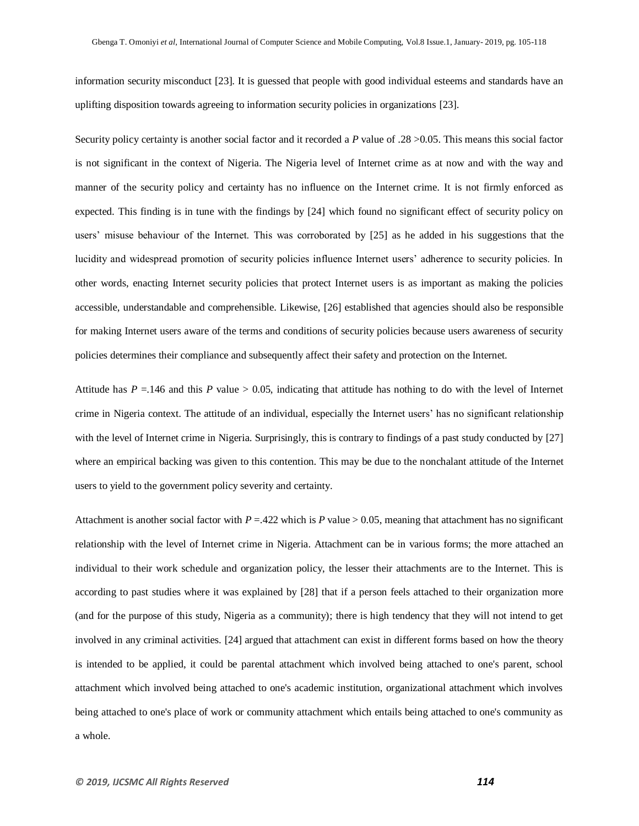information security misconduct [23]. It is guessed that people with good individual esteems and standards have an uplifting disposition towards agreeing to information security policies in organizations [23].

Security policy certainty is another social factor and it recorded a *P* value of .28 >0.05. This means this social factor is not significant in the context of Nigeria. The Nigeria level of Internet crime as at now and with the way and manner of the security policy and certainty has no influence on the Internet crime. It is not firmly enforced as expected. This finding is in tune with the findings by [24] which found no significant effect of security policy on users" misuse behaviour of the Internet. This was corroborated by [25] as he added in his suggestions that the lucidity and widespread promotion of security policies influence Internet users" adherence to security policies. In other words, enacting Internet security policies that protect Internet users is as important as making the policies accessible, understandable and comprehensible. Likewise, [26] established that agencies should also be responsible for making Internet users aware of the terms and conditions of security policies because users awareness of security policies determines their compliance and subsequently affect their safety and protection on the Internet.

Attitude has  $P = 146$  and this  $P$  value  $> 0.05$ , indicating that attitude has nothing to do with the level of Internet crime in Nigeria context. The attitude of an individual, especially the Internet users" has no significant relationship with the level of Internet crime in Nigeria. Surprisingly, this is contrary to findings of a past study conducted by [27] where an empirical backing was given to this contention. This may be due to the nonchalant attitude of the Internet users to yield to the government policy severity and certainty.

Attachment is another social factor with  $P = 0.422$  which is *P* value  $> 0.05$ , meaning that attachment has no significant relationship with the level of Internet crime in Nigeria. Attachment can be in various forms; the more attached an individual to their work schedule and organization policy, the lesser their attachments are to the Internet. This is according to past studies where it was explained by [28] that if a person feels attached to their organization more (and for the purpose of this study, Nigeria as a community); there is high tendency that they will not intend to get involved in any criminal activities. [24] argued that attachment can exist in different forms based on how the theory is intended to be applied, it could be parental attachment which involved being attached to one's parent, school attachment which involved being attached to one's academic institution, organizational attachment which involves being attached to one's place of work or community attachment which entails being attached to one's community as a whole.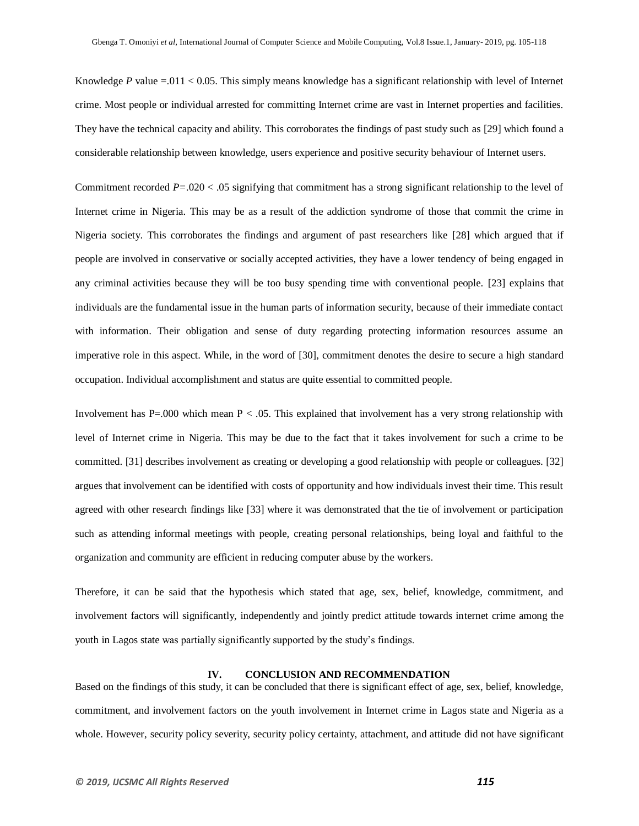Knowledge *P* value =.011 < 0.05. This simply means knowledge has a significant relationship with level of Internet crime. Most people or individual arrested for committing Internet crime are vast in Internet properties and facilities. They have the technical capacity and ability. This corroborates the findings of past study such as [29] which found a considerable relationship between knowledge, users experience and positive security behaviour of Internet users.

Commitment recorded *P=*.020 < .05 signifying that commitment has a strong significant relationship to the level of Internet crime in Nigeria. This may be as a result of the addiction syndrome of those that commit the crime in Nigeria society. This corroborates the findings and argument of past researchers like [28] which argued that if people are involved in conservative or socially accepted activities, they have a lower tendency of being engaged in any criminal activities because they will be too busy spending time with conventional people. [23] explains that individuals are the fundamental issue in the human parts of information security, because of their immediate contact with information. Their obligation and sense of duty regarding protecting information resources assume an imperative role in this aspect. While, in the word of [30], commitment denotes the desire to secure a high standard occupation. Individual accomplishment and status are quite essential to committed people.

Involvement has  $P=0.000$  which mean  $P < 0.05$ . This explained that involvement has a very strong relationship with level of Internet crime in Nigeria. This may be due to the fact that it takes involvement for such a crime to be committed. [31] describes involvement as creating or developing a good relationship with people or colleagues. [32] argues that involvement can be identified with costs of opportunity and how individuals invest their time. This result agreed with other research findings like [33] where it was demonstrated that the tie of involvement or participation such as attending informal meetings with people, creating personal relationships, being loyal and faithful to the organization and community are efficient in reducing computer abuse by the workers.

Therefore, it can be said that the hypothesis which stated that age, sex, belief, knowledge, commitment, and involvement factors will significantly, independently and jointly predict attitude towards internet crime among the youth in Lagos state was partially significantly supported by the study"s findings.

#### **IV. CONCLUSION AND RECOMMENDATION**

Based on the findings of this study, it can be concluded that there is significant effect of age, sex, belief, knowledge, commitment, and involvement factors on the youth involvement in Internet crime in Lagos state and Nigeria as a whole. However, security policy severity, security policy certainty, attachment, and attitude did not have significant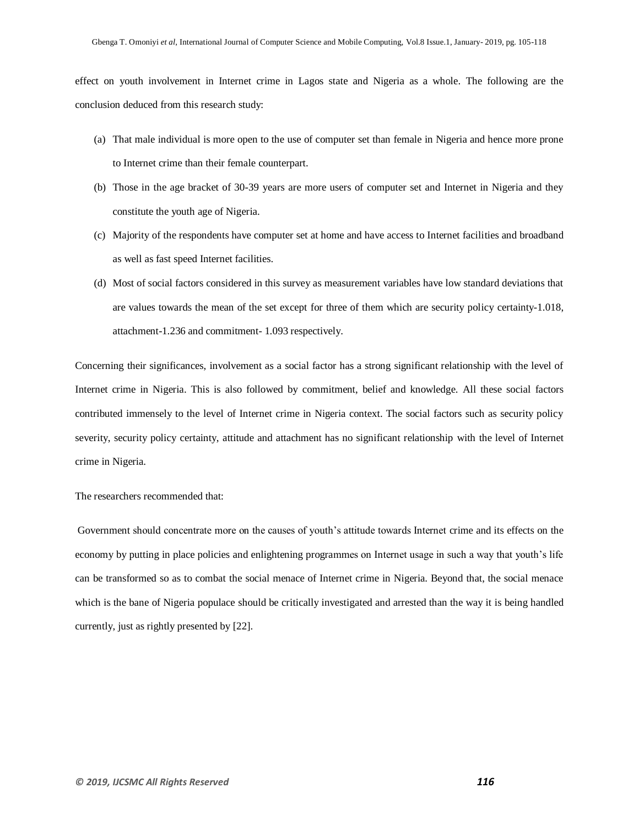effect on youth involvement in Internet crime in Lagos state and Nigeria as a whole. The following are the conclusion deduced from this research study:

- (a) That male individual is more open to the use of computer set than female in Nigeria and hence more prone to Internet crime than their female counterpart.
- (b) Those in the age bracket of 30-39 years are more users of computer set and Internet in Nigeria and they constitute the youth age of Nigeria.
- (c) Majority of the respondents have computer set at home and have access to Internet facilities and broadband as well as fast speed Internet facilities.
- (d) Most of social factors considered in this survey as measurement variables have low standard deviations that are values towards the mean of the set except for three of them which are security policy certainty-1.018, attachment-1.236 and commitment- 1.093 respectively.

Concerning their significances, involvement as a social factor has a strong significant relationship with the level of Internet crime in Nigeria. This is also followed by commitment, belief and knowledge. All these social factors contributed immensely to the level of Internet crime in Nigeria context. The social factors such as security policy severity, security policy certainty, attitude and attachment has no significant relationship with the level of Internet crime in Nigeria.

### The researchers recommended that:

Government should concentrate more on the causes of youth's attitude towards Internet crime and its effects on the economy by putting in place policies and enlightening programmes on Internet usage in such a way that youth"s life can be transformed so as to combat the social menace of Internet crime in Nigeria. Beyond that, the social menace which is the bane of Nigeria populace should be critically investigated and arrested than the way it is being handled currently, just as rightly presented by [22].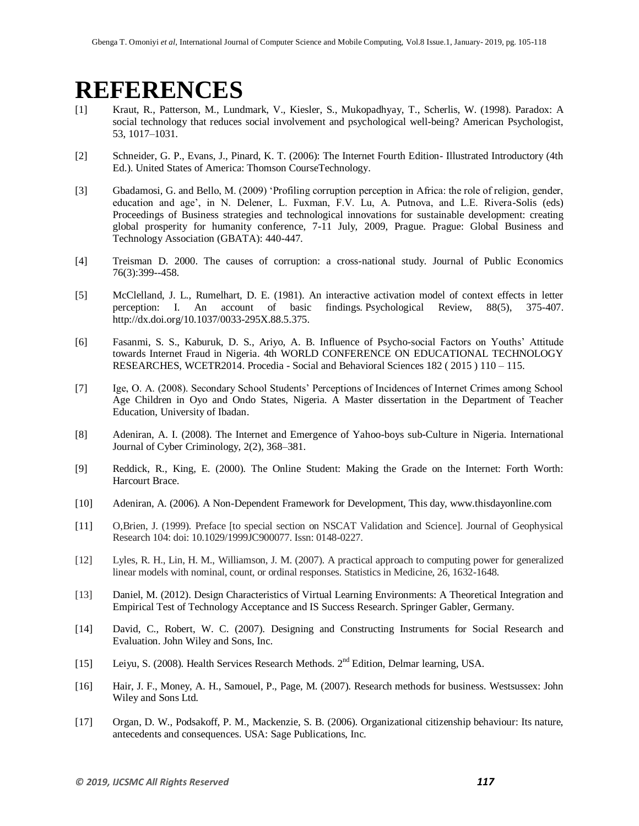## **REFERENCES**

- [1] Kraut, R., Patterson, M., Lundmark, V., Kiesler, S., Mukopadhyay, T., Scherlis, W. (1998). Paradox: A social technology that reduces social involvement and psychological well-being? American Psychologist, 53, 1017–1031.
- [2] Schneider, G. P., Evans, J., Pinard, K. T. (2006): The Internet Fourth Edition- Illustrated Introductory (4th Ed.). United States of America: Thomson CourseTechnology.
- [3] Gbadamosi, G. and Bello, M. (2009) "Profiling corruption perception in Africa: the role of religion, gender, education and age', in N. Delener, L. Fuxman, F.V. Lu, A. Putnova, and L.E. Rivera-Solis (eds) Proceedings of Business strategies and technological innovations for sustainable development: creating global prosperity for humanity conference, 7-11 July, 2009, Prague. Prague: Global Business and Technology Association (GBATA): 440-447.
- [4] Treisman D. 2000. The causes of corruption: a cross-national study. Journal of Public Economics 76(3):399--458.
- [5] McClelland, J. L., Rumelhart, D. E. (1981). An interactive activation model of context effects in letter perception: I. An account of basic findings. Psychological Review, 88(5), 375-407. [http://dx.doi.org/10.1037/0033-295X.88.5.375.](https://psycnet.apa.org/doi/10.1037/0033-295X.88.5.375)
- [6] Fasanmi, S. S., Kaburuk, D. S., Ariyo, A. B. Influence of Psycho-social Factors on Youths" Attitude towards Internet Fraud in Nigeria. 4th WORLD CONFERENCE ON EDUCATIONAL TECHNOLOGY RESEARCHES, WCETR2014. Procedia - Social and Behavioral Sciences 182 ( 2015 ) 110 – 115.
- [7] Ige, O. A. (2008). Secondary School Students" Perceptions of Incidences of Internet Crimes among School Age Children in Oyo and Ondo States, Nigeria. A Master dissertation in the Department of Teacher Education, University of Ibadan.
- [8] Adeniran, A. I. (2008). The Internet and Emergence of Yahoo-boys sub-Culture in Nigeria. International Journal of Cyber Criminology, 2(2), 368–381.
- [9] Reddick, R., King, E. (2000). The Online Student: Making the Grade on the Internet: Forth Worth: Harcourt Brace.
- [10] Adeniran, A. (2006). A Non-Dependent Framework for Development, This day, www.thisdayonline.com
- [11] O,Brien, J. (1999). Preface [to special section on NSCAT Validation and Science]. Journal of Geophysical Research 104: doi: 10.1029/1999JC900077. Issn: 0148-0227.
- [12] Lyles, R. H., Lin, H. M., Williamson, J. M. (2007). A practical approach to computing power for generalized linear models with nominal, count, or ordinal responses. Statistics in Medicine, 26, 1632-1648.
- [13] Daniel, M. (2012). Design Characteristics of Virtual Learning Environments: A Theoretical Integration and Empirical Test of Technology Acceptance and IS Success Research. Springer Gabler, Germany.
- [14] David, C., Robert, W. C. (2007). Designing and Constructing Instruments for Social Research and Evaluation. John Wiley and Sons, Inc.
- [15] Leiyu, S. (2008). Health Services Research Methods. 2<sup>nd</sup> Edition, Delmar learning, USA.
- [16] Hair, J. F., Money, A. H., Samouel, P., Page, M. (2007). Research methods for business. Westsussex: John Wiley and Sons Ltd.
- [17] Organ, D. W., Podsakoff, P. M., Mackenzie, S. B. (2006). Organizational citizenship behaviour: Its nature, antecedents and consequences. USA: Sage Publications, Inc.